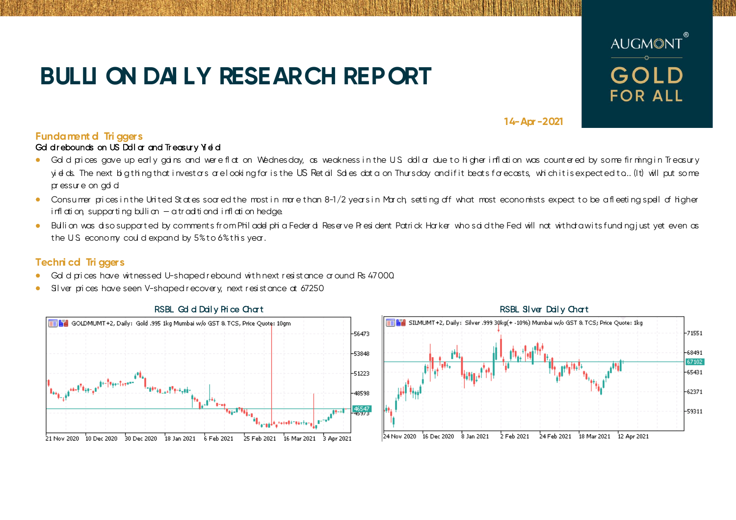# **BULLI ON DAI LY RESEARCH REPORT**



**14-Apr -2021**

## **Fundament d Tri ggers**

### Gd d r ebounds on US Ddl ar and Treasury Yield

- Gold prices gave up early agins and were flat on Wednesday, as weakness in the U.S. doll ar due to hi gher inflation was countered by some firming in Treasury yields. The next big thing that investars are looking for is the US Retail Sales data on Thursday and if it beats farecasts, which it is expected to... (It) will put so me pr essur e on gd d
- Consumer prices in the United States soared the most in mare than 8-1/2 years in March, setting off what most economists expect to be a fleeting spell of higher i rfl ati on, supporti ng bulli on  $-$  a tr aditi ond i rfl ati on hedge.
- Bullion was diso supported by comments from Philadel phi a Feder di Reserve President Patrick Harker who said the Fed will not withdraw its funding i ust yet even as the U.S. economy could expand by  $5\%$  to  $6\%$  this year.

## **Techni cal Tri ggers**

- Gol d pri ces have witnessed U-shaped rebound with next resistance around Rs 47000.
- Silver pri ces have seen V-shaped recovery, next resistance at 67250